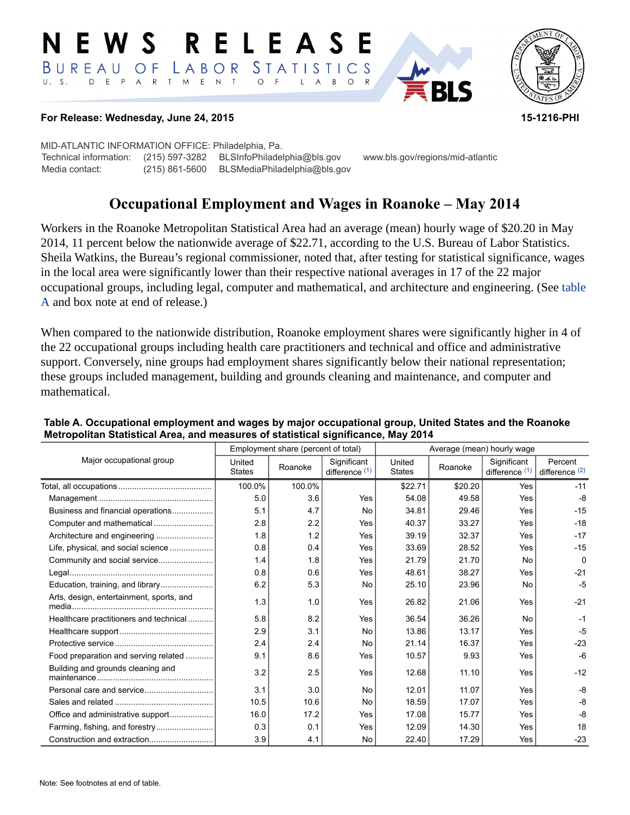#### RELEASE E W S LABOR STATISTICS BUREAU OF D E P A R T M E N T  $\circ$  $U. S.$  $F$  $\mathsf{L}$  $\overline{A}$ B  $\circ$



### **For Release: Wednesday, June 24, 2015 15-1216-PHI**

MID-ATLANTIC INFORMATION OFFICE: Philadelphia, Pa. Technical information: (215) 597-3282 BLSInfoPhiladelphia@bls.gov www.bls.gov/regions/mid-atlantic Media contact: (215) 861-5600 BLSMediaPhiladelphia@bls.gov

# **Occupational Employment and Wages in Roanoke – May 2014**

Workers in the Roanoke Metropolitan Statistical Area had an average (mean) hourly wage of \$20.20 in May 2014, 11 percent below the nationwide average of \$22.71, according to the U.S. Bureau of Labor Statistics. Sheila Watkins, the Bureau's regional commissioner, noted that, after testing for statistical significance, wages in the local area were significantly lower than their respective national averages in 17 of the 22 major occupational groups, including legal, computer and mathematical, and architecture and engineering. (See [table](#page-0-0)  [A](#page-0-0) and box note at end of release.)

When compared to the nationwide distribution, Roanoke employment shares were significantly higher in 4 of the 22 occupational groups including health care practitioners and technical and office and administrative support. Conversely, nine groups had employment shares significantly below their national representation; these groups included management, building and grounds cleaning and maintenance, and computer and mathematical.

|                                          | Employment share (percent of total) |         |                               | Average (mean) hourly wage |         |                               |                             |
|------------------------------------------|-------------------------------------|---------|-------------------------------|----------------------------|---------|-------------------------------|-----------------------------|
| Major occupational group                 | United<br><b>States</b>             | Roanoke | Significant<br>difference (1) | United<br><b>States</b>    | Roanoke | Significant<br>difference (1) | Percent<br>difference $(2)$ |
|                                          | 100.0%                              | 100.0%  |                               | \$22.71                    | \$20.20 | Yes                           | $-11$                       |
|                                          | 5.0                                 | 3.6     | Yes                           | 54.08                      | 49.58   | Yes                           | -8                          |
| Business and financial operations        | 5.1                                 | 4.7     | No                            | 34.81                      | 29.46   | Yes                           | $-15$                       |
| Computer and mathematical                | 2.8                                 | 2.2     | Yes                           | 40.37                      | 33.27   | Yes                           | $-18$                       |
| Architecture and engineering             | 1.8                                 | 1.2     | Yes                           | 39.19                      | 32.37   | Yes                           | $-17$                       |
| Life, physical, and social science       | 0.8                                 | 0.4     | Yes                           | 33.69                      | 28.52   | Yes                           | $-15$                       |
|                                          | 1.4                                 | 1.8     | Yes                           | 21.79                      | 21.70   | No                            | $\Omega$                    |
|                                          | 0.8                                 | 0.6     | Yes                           | 48.61                      | 38.27   | Yes                           | $-21$                       |
|                                          | 6.2                                 | 5.3     | No                            | 25.10                      | 23.96   | <b>No</b>                     | $-5$                        |
| Arts, design, entertainment, sports, and | 1.3                                 | 1.0     | Yes                           | 26.82                      | 21.06   | Yes                           | $-21$                       |
| Healthcare practitioners and technical   | 5.8                                 | 8.2     | Yes                           | 36.54                      | 36.26   | No                            | $-1$                        |
|                                          | 2.9                                 | 3.1     | No                            | 13.86                      | 13.17   | Yes                           | $-5$                        |
|                                          | 2.4                                 | 2.4     | No                            | 21.14                      | 16.37   | Yes                           | $-23$                       |
| Food preparation and serving related     | 9.1                                 | 8.6     | Yes                           | 10.57                      | 9.93    | Yes                           | $-6$                        |
| Building and grounds cleaning and        | 3.2                                 | 2.5     | Yes                           | 12.68                      | 11.10   | Yes                           | $-12$                       |
|                                          | 3.1                                 | 3.0     | No                            | 12.01                      | 11.07   | Yes                           | $-8$                        |
|                                          | 10.5                                | 10.6    | No                            | 18.59                      | 17.07   | Yes                           | $-8$                        |
|                                          | 16.0                                | 17.2    | Yes                           | 17.08                      | 15.77   | Yes                           | $-8$                        |
| Farming, fishing, and forestry           | 0.3                                 | 0.1     | Yes                           | 12.09                      | 14.30   | Yes                           | 18                          |
|                                          | 3.9                                 | 4.1     | No                            | 22.40                      | 17.29   | Yes                           | $-23$                       |

#### <span id="page-0-0"></span>**Table A. Occupational employment and wages by major occupational group, United States and the Roanoke Metropolitan Statistical Area, and measures of statistical significance, May 2014**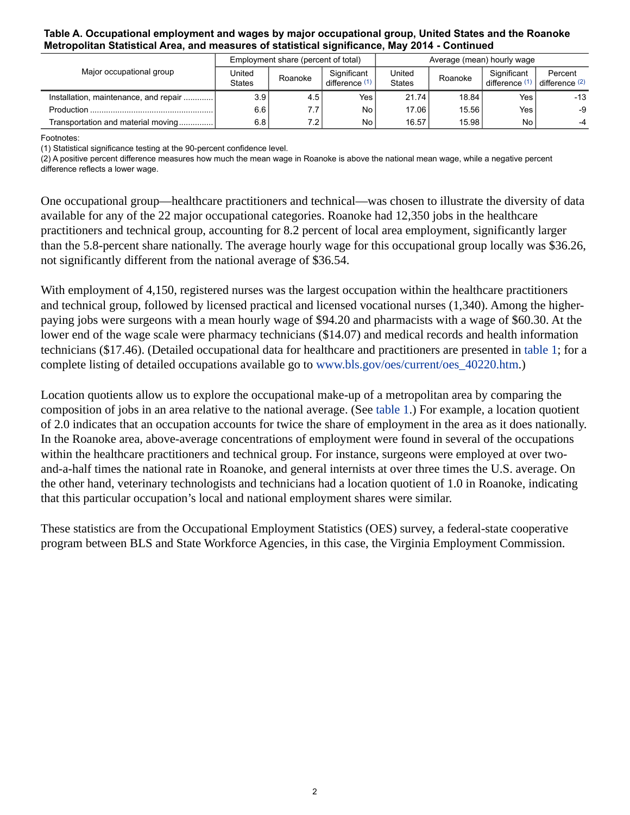#### **Table A. Occupational employment and wages by major occupational group, United States and the Roanoke Metropolitan Statistical Area, and measures of statistical significance, May 2014 - Continued**

| Major occupational group                | Employment share (percent of total) |                  |                               | Average (mean) hourly wage |         |                               |                                      |
|-----------------------------------------|-------------------------------------|------------------|-------------------------------|----------------------------|---------|-------------------------------|--------------------------------------|
|                                         | United<br><b>States</b>             | Roanoke          | Significant<br>difference (1) | United<br><b>States</b>    | Roanoke | Significant<br>difference (1) | Percent<br>difference <sup>(2)</sup> |
| Installation, maintenance, and repair ! | 3.9                                 | 4.5              | Yes,                          | 21.74                      | 18.84   | Yes                           | -13                                  |
| Production                              | 6.6                                 |                  | No                            | 17.06                      | 15.56   | Yes                           | -9                                   |
| Transportation and material moving      | 6.8                                 | 7.2 <sub>1</sub> | No                            | 16.57                      | 15.98   | N <sub>o</sub>                | $-4$                                 |

<span id="page-1-0"></span>Footnotes:

(1) Statistical significance testing at the 90-percent confidence level.

(2) A positive percent difference measures how much the mean wage in Roanoke is above the national mean wage, while a negative percent difference reflects a lower wage.

One occupational group—healthcare practitioners and technical—was chosen to illustrate the diversity of data available for any of the 22 major occupational categories. Roanoke had 12,350 jobs in the healthcare practitioners and technical group, accounting for 8.2 percent of local area employment, significantly larger than the 5.8-percent share nationally. The average hourly wage for this occupational group locally was \$36.26, not significantly different from the national average of \$36.54.

With employment of 4,150, registered nurses was the largest occupation within the healthcare practitioners and technical group, followed by licensed practical and licensed vocational nurses (1,340). Among the higherpaying jobs were surgeons with a mean hourly wage of \$94.20 and pharmacists with a wage of \$60.30. At the lower end of the wage scale were pharmacy technicians (\$14.07) and medical records and health information technicians (\$17.46). (Detailed occupational data for healthcare and practitioners are presented in [table 1;](#page-4-0) for a complete listing of detailed occupations available go to [www.bls.gov/oes/current/oes\\_40220.htm](https://www.bls.gov/oes/current/oes_40220.htm).)

Location quotients allow us to explore the occupational make-up of a metropolitan area by comparing the composition of jobs in an area relative to the national average. (See [table 1.](#page-4-0)) For example, a location quotient of 2.0 indicates that an occupation accounts for twice the share of employment in the area as it does nationally. In the Roanoke area, above-average concentrations of employment were found in several of the occupations within the healthcare practitioners and technical group. For instance, surgeons were employed at over twoand-a-half times the national rate in Roanoke, and general internists at over three times the U.S. average. On the other hand, veterinary technologists and technicians had a location quotient of 1.0 in Roanoke, indicating that this particular occupation's local and national employment shares were similar.

These statistics are from the Occupational Employment Statistics (OES) survey, a federal-state cooperative program between BLS and State Workforce Agencies, in this case, the Virginia Employment Commission.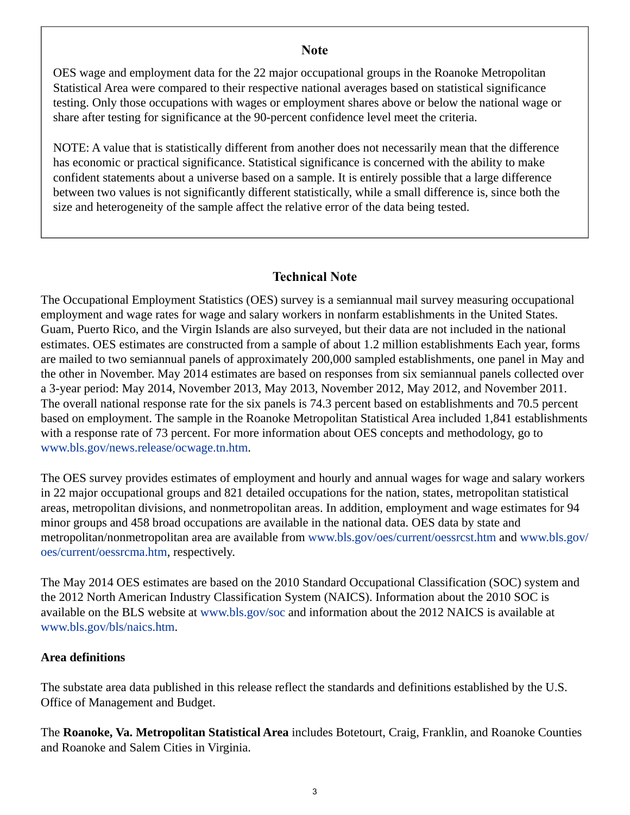## **Note**

OES wage and employment data for the 22 major occupational groups in the Roanoke Metropolitan Statistical Area were compared to their respective national averages based on statistical significance testing. Only those occupations with wages or employment shares above or below the national wage or share after testing for significance at the 90-percent confidence level meet the criteria.

NOTE: A value that is statistically different from another does not necessarily mean that the difference has economic or practical significance. Statistical significance is concerned with the ability to make confident statements about a universe based on a sample. It is entirely possible that a large difference between two values is not significantly different statistically, while a small difference is, since both the size and heterogeneity of the sample affect the relative error of the data being tested.

## **Technical Note**

The Occupational Employment Statistics (OES) survey is a semiannual mail survey measuring occupational employment and wage rates for wage and salary workers in nonfarm establishments in the United States. Guam, Puerto Rico, and the Virgin Islands are also surveyed, but their data are not included in the national estimates. OES estimates are constructed from a sample of about 1.2 million establishments Each year, forms are mailed to two semiannual panels of approximately 200,000 sampled establishments, one panel in May and the other in November. May 2014 estimates are based on responses from six semiannual panels collected over a 3-year period: May 2014, November 2013, May 2013, November 2012, May 2012, and November 2011. The overall national response rate for the six panels is 74.3 percent based on establishments and 70.5 percent based on employment. The sample in the Roanoke Metropolitan Statistical Area included 1,841 establishments with a response rate of 73 percent. For more information about OES concepts and methodology, go to [www.bls.gov/news.release/ocwage.tn.htm](https://www.bls.gov/news.release/ocwage.tn.htm).

The OES survey provides estimates of employment and hourly and annual wages for wage and salary workers in 22 major occupational groups and 821 detailed occupations for the nation, states, metropolitan statistical areas, metropolitan divisions, and nonmetropolitan areas. In addition, employment and wage estimates for 94 minor groups and 458 broad occupations are available in the national data. OES data by state and metropolitan/nonmetropolitan area are available from [www.bls.gov/oes/current/oessrcst.htm](https://www.bls.gov/oes/current/oessrcst.htm) and [www.bls.gov/](https://www.bls.gov/oes/current/oessrcma.htm) [oes/current/oessrcma.htm,](https://www.bls.gov/oes/current/oessrcma.htm) respectively.

The May 2014 OES estimates are based on the 2010 Standard Occupational Classification (SOC) system and the 2012 North American Industry Classification System (NAICS). Information about the 2010 SOC is available on the BLS website at [www.bls.gov/soc](https://www.bls.gov/soc) and information about the 2012 NAICS is available at [www.bls.gov/bls/naics.htm.](https://www.bls.gov/bls/naics.htm)

## **Area definitions**

The substate area data published in this release reflect the standards and definitions established by the U.S. Office of Management and Budget.

The **Roanoke, Va. Metropolitan Statistical Area** includes Botetourt, Craig, Franklin, and Roanoke Counties and Roanoke and Salem Cities in Virginia.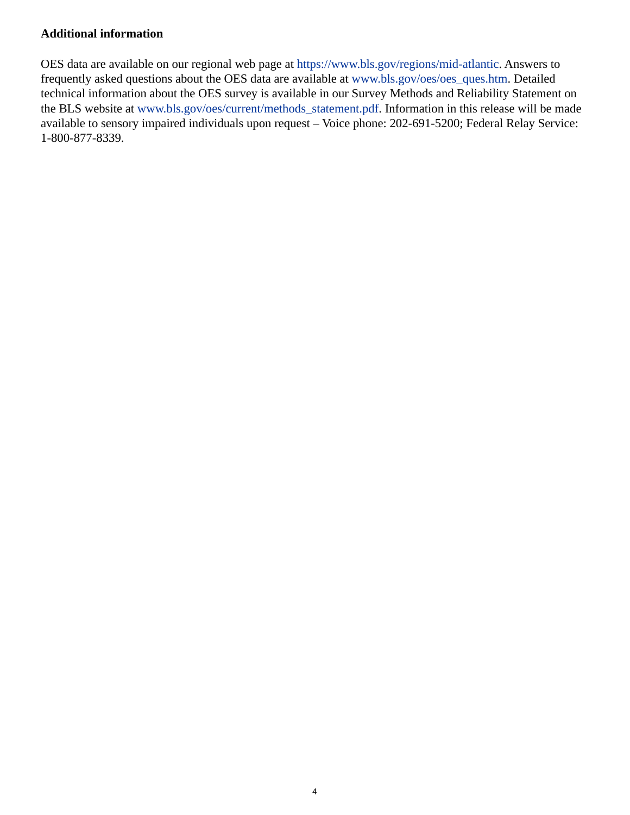## **Additional information**

OES data are available on our regional web page at <https://www.bls.gov/regions/mid-atlantic>. Answers to frequently asked questions about the OES data are available at [www.bls.gov/oes/oes\\_ques.htm](https://www.bls.gov/oes/oes_ques.htm). Detailed technical information about the OES survey is available in our Survey Methods and Reliability Statement on the BLS website at [www.bls.gov/oes/current/methods\\_statement.pdf](https://www.bls.gov/oes/current/methods_statement.pdf). Information in this release will be made available to sensory impaired individuals upon request – Voice phone: 202-691-5200; Federal Relay Service: 1-800-877-8339.